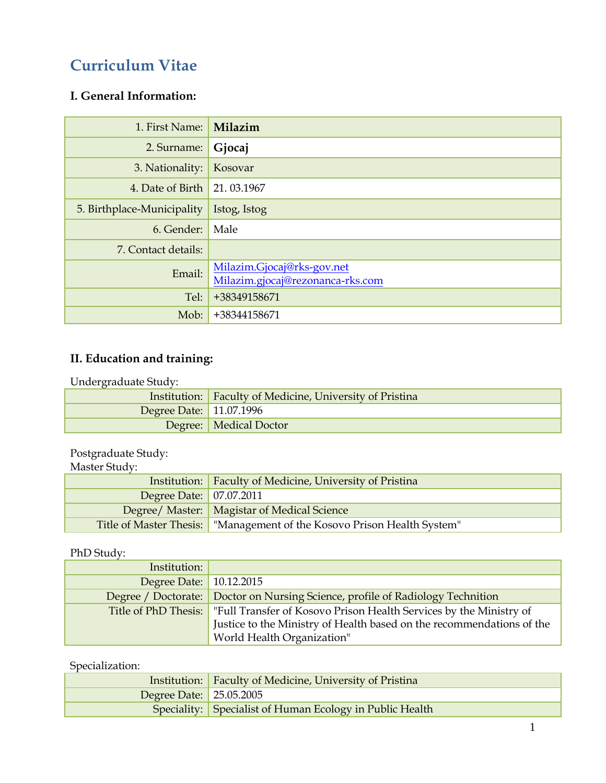# **Curriculum Vitae**

### **I. General Information:**

| 1. First Name:             | Milazim                                                        |
|----------------------------|----------------------------------------------------------------|
| 2. Surname:                | Gjocaj                                                         |
| 3. Nationality:            | Kosovar                                                        |
| 4. Date of Birth           | 21.03.1967                                                     |
| 5. Birthplace-Municipality | Istog, Istog                                                   |
| 6. Gender:                 | Male                                                           |
| 7. Contact details:        |                                                                |
| Email:                     | Milazim.Gjocaj@rks-gov.net<br>Milazim.gjocaj@rezonanca-rks.com |
| Tel:                       | +38349158671                                                   |
| Mob:                       | +38344158671                                                   |

### **II. Education and training:**

Undergraduate Study:

|                         | Institution: Faculty of Medicine, University of Pristina |
|-------------------------|----------------------------------------------------------|
| Degree Date: 11.07.1996 |                                                          |
|                         | Degree:   Medical Doctor                                 |

Postgraduate Study:

Master Study:

|                         | Institution: Faculty of Medicine, University of Pristina                  |  |
|-------------------------|---------------------------------------------------------------------------|--|
| Degree Date: 07.07.2011 |                                                                           |  |
|                         | Degree/ Master:   Magistar of Medical Science                             |  |
|                         | Title of Master Thesis:   "Management of the Kosovo Prison Health System" |  |

#### PhD Study:

| Institution:            |                                                                                           |
|-------------------------|-------------------------------------------------------------------------------------------|
| Degree Date: 10.12.2015 |                                                                                           |
|                         | Degree / Doctorate: Doctor on Nursing Science, profile of Radiology Technition            |
|                         | Title of PhD Thesis:   "Full Transfer of Kosovo Prison Health Services by the Ministry of |
|                         | Justice to the Ministry of Health based on the recommendations of the                     |
|                         | World Health Organization"                                                                |

### Specialization:

|                           | Institution: Faculty of Medicine, University of Pristina |
|---------------------------|----------------------------------------------------------|
| Degree Date:   25.05.2005 |                                                          |
|                           | Speciality: Specialist of Human Ecology in Public Health |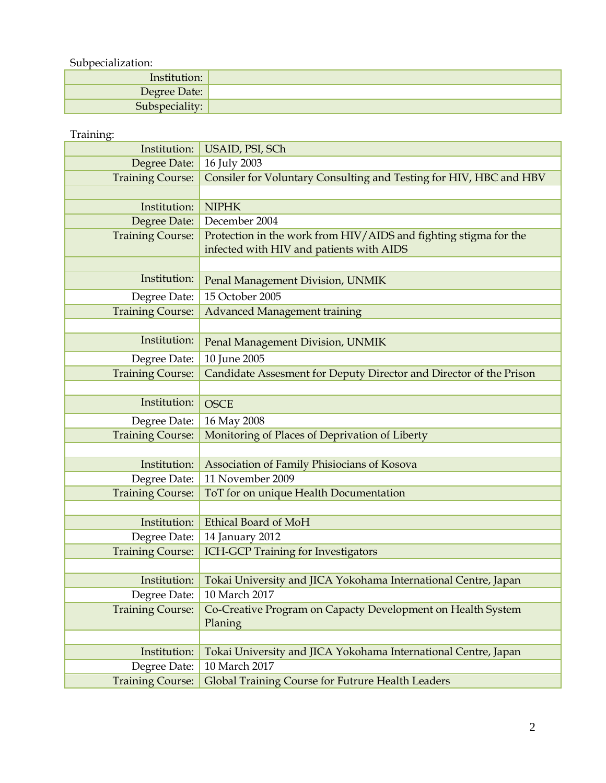Subpecialization:

| __________________ |  |
|--------------------|--|
| Institution:       |  |
| Degree Date:       |  |
| Subspeciality:     |  |

#### Training:

| Institution:            | USAID, PSI, SCh                                                                                              |  |  |  |
|-------------------------|--------------------------------------------------------------------------------------------------------------|--|--|--|
| Degree Date:            | 16 July 2003                                                                                                 |  |  |  |
| <b>Training Course:</b> | Consiler for Voluntary Consulting and Testing for HIV, HBC and HBV                                           |  |  |  |
|                         |                                                                                                              |  |  |  |
| Institution:            | <b>NIPHK</b>                                                                                                 |  |  |  |
| Degree Date:            | December 2004                                                                                                |  |  |  |
| <b>Training Course:</b> | Protection in the work from HIV/AIDS and fighting stigma for the<br>infected with HIV and patients with AIDS |  |  |  |
|                         |                                                                                                              |  |  |  |
| Institution:            |                                                                                                              |  |  |  |
|                         | Penal Management Division, UNMIK                                                                             |  |  |  |
| Degree Date:            | 15 October 2005                                                                                              |  |  |  |
| <b>Training Course:</b> | <b>Advanced Management training</b>                                                                          |  |  |  |
|                         |                                                                                                              |  |  |  |
| Institution:            | Penal Management Division, UNMIK                                                                             |  |  |  |
| Degree Date:            | 10 June 2005                                                                                                 |  |  |  |
| <b>Training Course:</b> | Candidate Assesment for Deputy Director and Director of the Prison                                           |  |  |  |
|                         |                                                                                                              |  |  |  |
| Institution:            | <b>OSCE</b>                                                                                                  |  |  |  |
| Degree Date:            | 16 May 2008                                                                                                  |  |  |  |
| <b>Training Course:</b> | Monitoring of Places of Deprivation of Liberty                                                               |  |  |  |
|                         |                                                                                                              |  |  |  |
| Institution:            | Association of Family Phisiocians of Kosova                                                                  |  |  |  |
| Degree Date:            | 11 November 2009                                                                                             |  |  |  |
| <b>Training Course:</b> | ToT for on unique Health Documentation                                                                       |  |  |  |
|                         |                                                                                                              |  |  |  |
| Institution:            | <b>Ethical Board of MoH</b>                                                                                  |  |  |  |
| Degree Date:            | 14 January 2012                                                                                              |  |  |  |
| <b>Training Course:</b> | <b>ICH-GCP Training for Investigators</b>                                                                    |  |  |  |
|                         |                                                                                                              |  |  |  |
| Institution:            | Tokai University and JICA Yokohama International Centre, Japan                                               |  |  |  |
| Degree Date:            | 10 March 2017                                                                                                |  |  |  |
| <b>Training Course:</b> | Co-Creative Program on Capacty Development on Health System<br>Planing                                       |  |  |  |
|                         |                                                                                                              |  |  |  |
| Institution:            | Tokai University and JICA Yokohama International Centre, Japan                                               |  |  |  |
| Degree Date:            | 10 March 2017                                                                                                |  |  |  |
| <b>Training Course:</b> | Global Training Course for Futrure Health Leaders                                                            |  |  |  |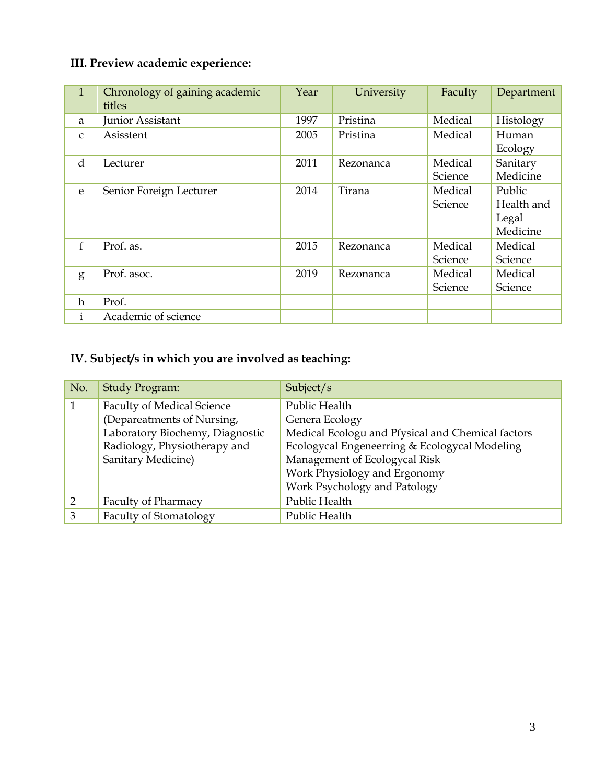## **III. Preview academic experience:**

| $\mathbf{1}$ | Chronology of gaining academic<br>titles | Year | University | Faculty | Department |
|--------------|------------------------------------------|------|------------|---------|------------|
| a            | Junior Assistant                         | 1997 | Pristina   | Medical | Histology  |
| $\mathsf{C}$ | Asisstent                                | 2005 | Pristina   | Medical | Human      |
|              |                                          |      |            |         | Ecology    |
| d            | Lecturer                                 | 2011 | Rezonanca  | Medical | Sanitary   |
|              |                                          |      |            | Science | Medicine   |
| e            | Senior Foreign Lecturer                  | 2014 | Tirana     | Medical | Public     |
|              |                                          |      |            | Science | Health and |
|              |                                          |      |            |         | Legal      |
|              |                                          |      |            |         | Medicine   |
| $\mathbf{f}$ | Prof. as.                                | 2015 | Rezonanca  | Medical | Medical    |
|              |                                          |      |            | Science | Science    |
| g            | Prof. asoc.                              | 2019 | Rezonanca  | Medical | Medical    |
|              |                                          |      |            | Science | Science    |
| $\mathbf h$  | Prof.                                    |      |            |         |            |
| $\mathbf{1}$ | Academic of science                      |      |            |         |            |

# **IV. Subject/s in which you are involved as teaching:**

| No.           | Study Program:                    | Subject/s                                         |  |
|---------------|-----------------------------------|---------------------------------------------------|--|
|               | <b>Faculty of Medical Science</b> | Public Health                                     |  |
|               | (Depareatments of Nursing,        | Genera Ecology                                    |  |
|               | Laboratory Biochemy, Diagnostic   | Medical Ecologu and Pfysical and Chemical factors |  |
|               | Radiology, Physiotherapy and      | Ecologycal Engeneerring & Ecologycal Modeling     |  |
|               | Sanitary Medicine)                | Management of Ecologycal Risk                     |  |
|               |                                   | Work Physiology and Ergonomy                      |  |
|               |                                   | Work Psychology and Patology                      |  |
| $\mathcal{D}$ | <b>Faculty of Pharmacy</b>        | Public Health                                     |  |
| 3             | <b>Faculty of Stomatology</b>     | Public Health                                     |  |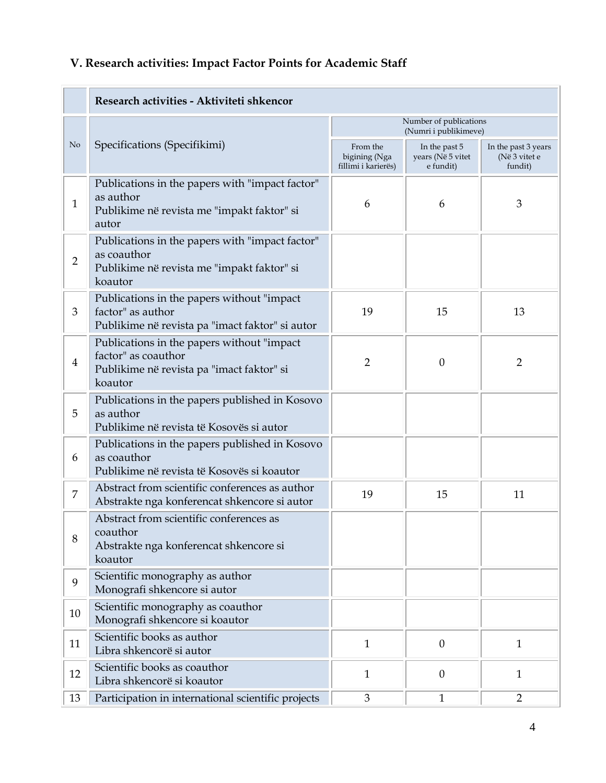# **V. Research activities: Impact Factor Points for Academic Staff**

|                | Research activities - Aktiviteti shkencor                                                                                  |                                                  |                                                 |                                                 |  |
|----------------|----------------------------------------------------------------------------------------------------------------------------|--------------------------------------------------|-------------------------------------------------|-------------------------------------------------|--|
|                |                                                                                                                            | Number of publications<br>(Numri i publikimeve)  |                                                 |                                                 |  |
| No             | Specifications (Specifikimi)                                                                                               | From the<br>bigining (Nga<br>fillimi i karierës) | In the past 5<br>years (Në 5 vitet<br>e fundit) | In the past 3 years<br>(Në 3 vitet e<br>fundit) |  |
| $\mathbf{1}$   | Publications in the papers with "impact factor"<br>as author<br>Publikime në revista me "impakt faktor" si<br>autor        | 6                                                | 6                                               | 3                                               |  |
| $\overline{2}$ | Publications in the papers with "impact factor"<br>as coauthor<br>Publikime në revista me "impakt faktor" si<br>koautor    |                                                  |                                                 |                                                 |  |
| 3              | Publications in the papers without "impact"<br>factor" as author<br>Publikime në revista pa "imact faktor" si autor        | 19                                               | 15                                              | 13                                              |  |
| 4              | Publications in the papers without "impact"<br>factor" as coauthor<br>Publikime në revista pa "imact faktor" si<br>koautor | $\overline{2}$                                   | $\theta$                                        | $\overline{2}$                                  |  |
| 5              | Publications in the papers published in Kosovo<br>as author<br>Publikime në revista të Kosovës si autor                    |                                                  |                                                 |                                                 |  |
| 6              | Publications in the papers published in Kosovo<br>as coauthor<br>Publikime në revista të Kosovës si koautor                |                                                  |                                                 |                                                 |  |
| 7              | Abstract from scientific conferences as author<br>Abstrakte nga konferencat shkencore si autor                             | 19                                               | 15                                              | 11                                              |  |
| 8              | Abstract from scientific conferences as<br>coauthor<br>Abstrakte nga konferencat shkencore si<br>koautor                   |                                                  |                                                 |                                                 |  |
| 9              | Scientific monography as author<br>Monografi shkencore si autor                                                            |                                                  |                                                 |                                                 |  |
| 10             | Scientific monography as coauthor<br>Monografi shkencore si koautor                                                        |                                                  |                                                 |                                                 |  |
| 11             | Scientific books as author<br>Libra shkencorë si autor                                                                     | $\mathbf{1}$                                     | $\boldsymbol{0}$                                | $\mathbf{1}$                                    |  |
| 12             | Scientific books as coauthor<br>Libra shkencorë si koautor                                                                 | $\mathbf{1}$                                     | $\boldsymbol{0}$                                | $\mathbf{1}$                                    |  |
| 13             | Participation in international scientific projects                                                                         | 3                                                | $\mathbf{1}$                                    | $\overline{2}$                                  |  |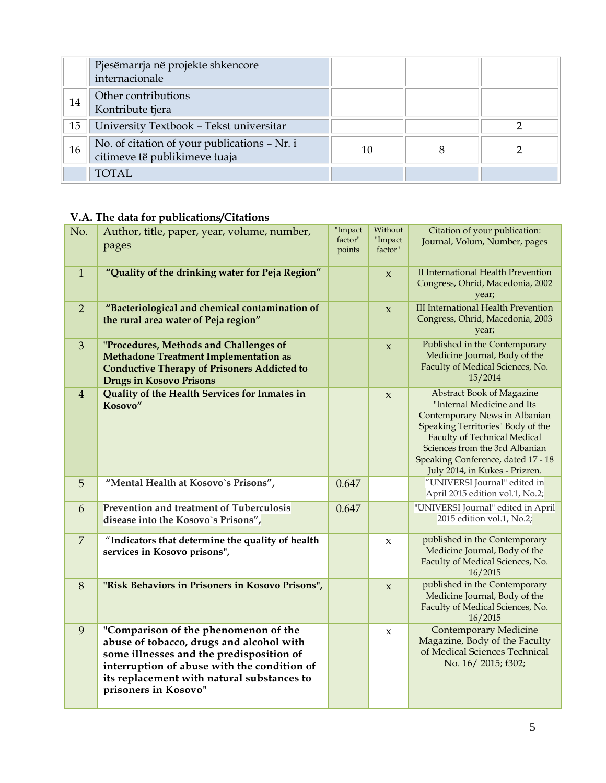|    | Pjesëmarrja në projekte shkencore<br>internacionale                           |    |  |
|----|-------------------------------------------------------------------------------|----|--|
| 14 | Other contributions<br>Kontribute tjera                                       |    |  |
| 15 | University Textbook - Tekst universitar                                       |    |  |
| 16 | No. of citation of your publications - Nr. i<br>citimeve të publikimeve tuaja | 10 |  |
|    | <b>TOTAL</b>                                                                  |    |  |

## **V.A. The data for publications/Citations**

| No.            | Author, title, paper, year, volume, number,<br>pages                                                                                                                                                                                              | "Impact<br>factor"<br>points | Without<br>"Impact<br>factor" | Citation of your publication:<br>Journal, Volum, Number, pages                                                                                                                                                                                                                        |
|----------------|---------------------------------------------------------------------------------------------------------------------------------------------------------------------------------------------------------------------------------------------------|------------------------------|-------------------------------|---------------------------------------------------------------------------------------------------------------------------------------------------------------------------------------------------------------------------------------------------------------------------------------|
| $\mathbf{1}$   | "Quality of the drinking water for Peja Region"                                                                                                                                                                                                   |                              | $\boldsymbol{\chi}$           | II International Health Prevention<br>Congress, Ohrid, Macedonia, 2002<br>year;                                                                                                                                                                                                       |
| $\overline{2}$ | "Bacteriological and chemical contamination of<br>the rural area water of Peja region"                                                                                                                                                            |                              | $\boldsymbol{\chi}$           | <b>III International Health Prevention</b><br>Congress, Ohrid, Macedonia, 2003<br>year;                                                                                                                                                                                               |
| $\mathfrak{Z}$ | "Procedures, Methods and Challenges of<br><b>Methadone Treatment Implementation as</b><br><b>Conductive Therapy of Prisoners Addicted to</b><br><b>Drugs in Kosovo Prisons</b>                                                                    |                              | $\boldsymbol{\chi}$           | Published in the Contemporary<br>Medicine Journal, Body of the<br>Faculty of Medical Sciences, No.<br>15/2014                                                                                                                                                                         |
| $\overline{4}$ | Quality of the Health Services for Inmates in<br>Kosovo"                                                                                                                                                                                          |                              | $\boldsymbol{\chi}$           | <b>Abstract Book of Magazine</b><br>"Internal Medicine and Its<br>Contemporary News in Albanian<br>Speaking Territories" Body of the<br><b>Faculty of Technical Medical</b><br>Sciences from the 3rd Albanian<br>Speaking Conference, dated 17 - 18<br>July 2014, in Kukes - Prizren. |
| 5              | "Mental Health at Kosovo's Prisons",                                                                                                                                                                                                              | 0.647                        |                               | "UNIVERSI Journal" edited in<br>April 2015 edition vol.1, No.2;                                                                                                                                                                                                                       |
| 6              | Prevention and treatment of Tuberculosis<br>disease into the Kosovo's Prisons",                                                                                                                                                                   | 0.647                        |                               | "UNIVERSI Journal" edited in April<br>2015 edition vol.1, No.2;                                                                                                                                                                                                                       |
| $\overline{7}$ | "Indicators that determine the quality of health<br>services in Kosovo prisons",                                                                                                                                                                  |                              | $\boldsymbol{\chi}$           | published in the Contemporary<br>Medicine Journal, Body of the<br>Faculty of Medical Sciences, No.<br>16/2015                                                                                                                                                                         |
| 8              | "Risk Behaviors in Prisoners in Kosovo Prisons",                                                                                                                                                                                                  |                              | $\boldsymbol{\chi}$           | published in the Contemporary<br>Medicine Journal, Body of the<br>Faculty of Medical Sciences, No.<br>16/2015                                                                                                                                                                         |
| 9              | "Comparison of the phenomenon of the<br>abuse of tobacco, drugs and alcohol with<br>some illnesses and the predisposition of<br>interruption of abuse with the condition of<br>its replacement with natural substances to<br>prisoners in Kosovo" |                              | $\pmb{\chi}$                  | <b>Contemporary Medicine</b><br>Magazine, Body of the Faculty<br>of Medical Sciences Technical<br>No. 16/2015; f302;                                                                                                                                                                  |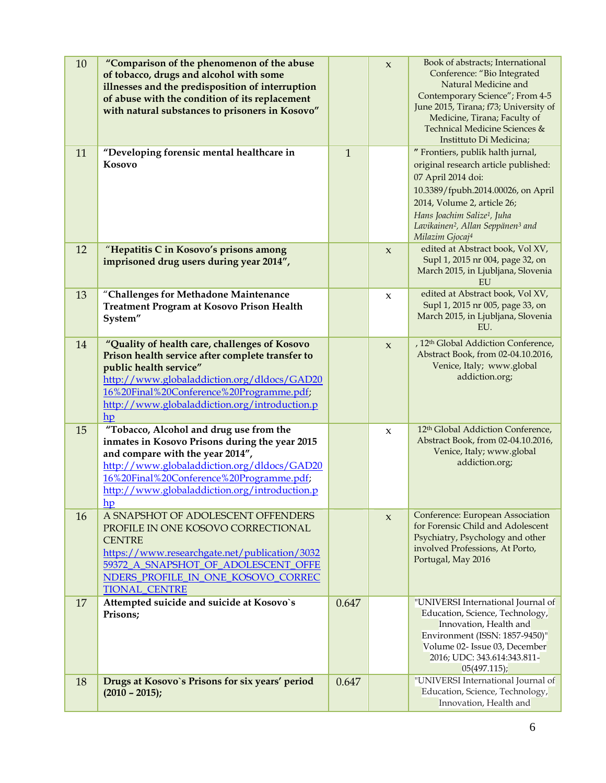| 10 | "Comparison of the phenomenon of the abuse<br>of tobacco, drugs and alcohol with some<br>illnesses and the predisposition of interruption<br>of abuse with the condition of its replacement<br>with natural substances to prisoners in Kosovo"                                  |              | $\mathbf x$         | Book of abstracts; International<br>Conference: "Bio Integrated<br>Natural Medicine and<br>Contemporary Science"; From 4-5<br>June 2015, Tirana; f73; University of<br>Medicine, Tirana; Faculty of<br>Technical Medicine Sciences &<br>Instittuto Di Medicina;                                             |
|----|---------------------------------------------------------------------------------------------------------------------------------------------------------------------------------------------------------------------------------------------------------------------------------|--------------|---------------------|-------------------------------------------------------------------------------------------------------------------------------------------------------------------------------------------------------------------------------------------------------------------------------------------------------------|
| 11 | "Developing forensic mental healthcare in<br>Kosovo                                                                                                                                                                                                                             | $\mathbf{1}$ |                     | " Frontiers, publik halth jurnal,<br>original research article published:<br>07 April 2014 doi:<br>10.3389/fpubh.2014.00026, on April<br>2014, Volume 2, article 26;<br>Hans Joachim Salize <sup>1</sup> , Juha<br>Lavikainen <sup>2</sup> , Allan Seppänen <sup>3</sup> and<br>Milazim Gjocaj <sup>4</sup> |
| 12 | "Hepatitis C in Kosovo's prisons among<br>imprisoned drug users during year 2014",                                                                                                                                                                                              |              | $\boldsymbol{\chi}$ | edited at Abstract book, Vol XV,<br>Supl 1, 2015 nr 004, page 32, on<br>March 2015, in Ljubljana, Slovenia<br>EU                                                                                                                                                                                            |
| 13 | "Challenges for Methadone Maintenance<br><b>Treatment Program at Kosovo Prison Health</b><br>System"                                                                                                                                                                            |              | $\boldsymbol{\chi}$ | edited at Abstract book, Vol XV,<br>Supl 1, 2015 nr 005, page 33, on<br>March 2015, in Ljubljana, Slovenia<br>EU.                                                                                                                                                                                           |
| 14 | "Quality of health care, challenges of Kosovo<br>Prison health service after complete transfer to<br>public health service"<br>http://www.globaladdiction.org/dldocs/GAD20<br>16%20Final%20Conference%20Programme.pdf;<br>http://www.globaladdiction.org/introduction.p<br>hp   |              | $\boldsymbol{\chi}$ | , 12 <sup>th</sup> Global Addiction Conference,<br>Abstract Book, from 02-04.10.2016,<br>Venice, Italy; www.global<br>addiction.org;                                                                                                                                                                        |
| 15 | "Tobacco, Alcohol and drug use from the<br>inmates in Kosovo Prisons during the year 2015<br>and compare with the year 2014",<br>http://www.globaladdiction.org/dldocs/GAD20<br>16%20Final%20Conference%20Programme.pdf;<br>http://www.globaladdiction.org/introduction.p<br>hp |              | $\boldsymbol{\chi}$ | 12th Global Addiction Conference,<br>Abstract Book, from 02-04.10.2016,<br>Venice, Italy; www.global<br>addiction.org;                                                                                                                                                                                      |
| 16 | A SNAPSHOT OF ADOLESCENT OFFENDERS<br>PROFILE IN ONE KOSOVO CORRECTIONAL<br><b>CENTRE</b><br>https://www.researchgate.net/publication/3032<br>59372_A_SNAPSHOT_OF_ADOLESCENT_OFFE<br>NDERS_PROFILE_IN_ONE_KOSOVO_CORREC<br><b>TIONAL CENTRE</b>                                 |              | $\mathbf{x}$        | Conference: European Association<br>for Forensic Child and Adolescent<br>Psychiatry, Psychology and other<br>involved Professions, At Porto,<br>Portugal, May 2016                                                                                                                                          |
| 17 | Attempted suicide and suicide at Kosovo's<br>Prisons;                                                                                                                                                                                                                           | 0.647        |                     | "UNIVERSI International Journal of<br>Education, Science, Technology,<br>Innovation, Health and<br>Environment (ISSN: 1857-9450)"<br>Volume 02- Issue 03, December<br>2016; UDC: 343.614:343.811-<br>05(497.115);                                                                                           |
| 18 | Drugs at Kosovo's Prisons for six years' period<br>$(2010 - 2015);$                                                                                                                                                                                                             | 0.647        |                     | "UNIVERSI International Journal of<br>Education, Science, Technology,<br>Innovation, Health and                                                                                                                                                                                                             |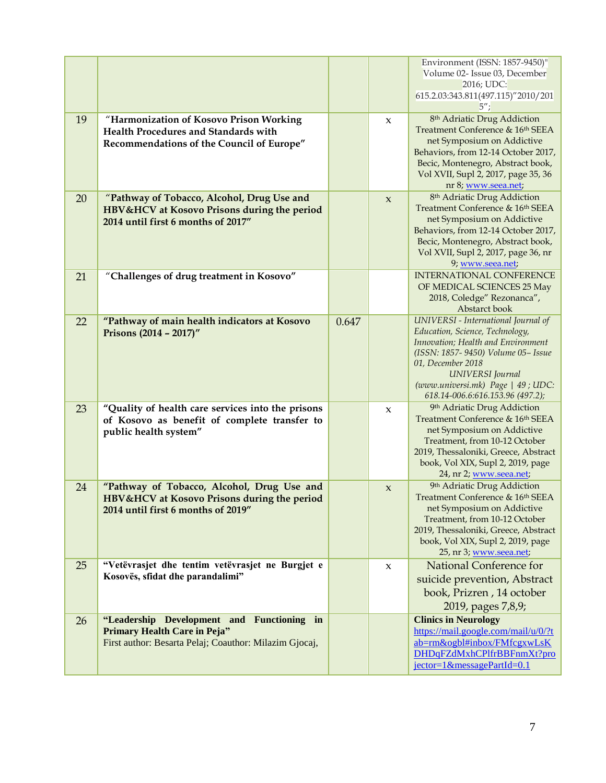|    |                                                                                                                                             |       |                     | Environment (ISSN: 1857-9450)"<br>Volume 02- Issue 03, December<br>2016; UDC:<br>615.2.03:343.811(497.115)"2010/201                                                                                                                                                          |
|----|---------------------------------------------------------------------------------------------------------------------------------------------|-------|---------------------|------------------------------------------------------------------------------------------------------------------------------------------------------------------------------------------------------------------------------------------------------------------------------|
| 19 | "Harmonization of Kosovo Prison Working<br>Health Procedures and Standards with<br>Recommendations of the Council of Europe"                |       | $\boldsymbol{\chi}$ | 8 <sup>th</sup> Adriatic Drug Addiction<br>Treatment Conference & 16th SEEA<br>net Symposium on Addictive<br>Behaviors, from 12-14 October 2017,<br>Becic, Montenegro, Abstract book,<br>Vol XVII, Supl 2, 2017, page 35, 36<br>nr 8; www.seea.net;                          |
| 20 | "Pathway of Tobacco, Alcohol, Drug Use and<br>HBV&HCV at Kosovo Prisons during the period<br>2014 until first 6 months of 2017"             |       | $\boldsymbol{\chi}$ | 8 <sup>th</sup> Adriatic Drug Addiction<br>Treatment Conference & 16th SEEA<br>net Symposium on Addictive<br>Behaviors, from 12-14 October 2017,<br>Becic, Montenegro, Abstract book,<br>Vol XVII, Supl 2, 2017, page 36, nr<br>9; www.seea.net;                             |
| 21 | "Challenges of drug treatment in Kosovo"                                                                                                    |       |                     | <b>INTERNATIONAL CONFERENCE</b><br>OF MEDICAL SCIENCES 25 May<br>2018, Coledge" Rezonanca",<br>Abstarct book                                                                                                                                                                 |
| 22 | "Pathway of main health indicators at Kosovo<br>Prisons (2014 - 2017)"                                                                      | 0.647 |                     | UNIVERSI - International Journal of<br>Education, Science, Technology,<br>Innovation; Health and Environment<br>(ISSN: 1857- 9450) Volume 05- Issue<br>01, December 2018<br><b>UNIVERSI</b> Journal<br>(www.universi.mk) Page   49; UDC:<br>618.14-006.6:616.153.96 (497.2); |
| 23 | "Quality of health care services into the prisons<br>of Kosovo as benefit of complete transfer to<br>public health system"                  |       | $\boldsymbol{\chi}$ | 9 <sup>th</sup> Adriatic Drug Addiction<br>Treatment Conference & 16th SEEA<br>net Symposium on Addictive<br>Treatment, from 10-12 October<br>2019, Thessaloniki, Greece, Abstract<br>book, Vol XIX, Supl 2, 2019, page<br>24, nr 2; www.seea.net;                           |
| 24 | "Pathway of Tobacco, Alcohol, Drug Use and<br>HBV&HCV at Kosovo Prisons during the period<br>2014 until first 6 months of 2019"             |       | $\boldsymbol{\chi}$ | 9th Adriatic Drug Addiction<br>Treatment Conference & 16th SEEA<br>net Symposium on Addictive<br>Treatment, from 10-12 October<br>2019, Thessaloniki, Greece, Abstract<br>book, Vol XIX, Supl 2, 2019, page<br>25, nr 3; www.seea.net;                                       |
| 25 | "Vetëvrasjet dhe tentim vetëvrasjet ne Burgjet e<br>Kosovës, sfidat dhe parandalimi"                                                        |       | $\mathbf{x}$        | National Conference for<br>suicide prevention, Abstract<br>book, Prizren, 14 october<br>2019, pages 7,8,9;                                                                                                                                                                   |
| 26 | "Leadership Development and Functioning in<br><b>Primary Health Care in Peja"</b><br>First author: Besarta Pelaj; Coauthor: Milazim Gjocaj, |       |                     | <b>Clinics in Neurology</b><br>https://mail.google.com/mail/u/0/?t<br>ab=rm&ogbl#inbox/FMfcgxwLsK<br>DHDqFZdMxhCPlfrBBFnmXt?pro<br>$jector=1$ &messagePartId=0.1                                                                                                             |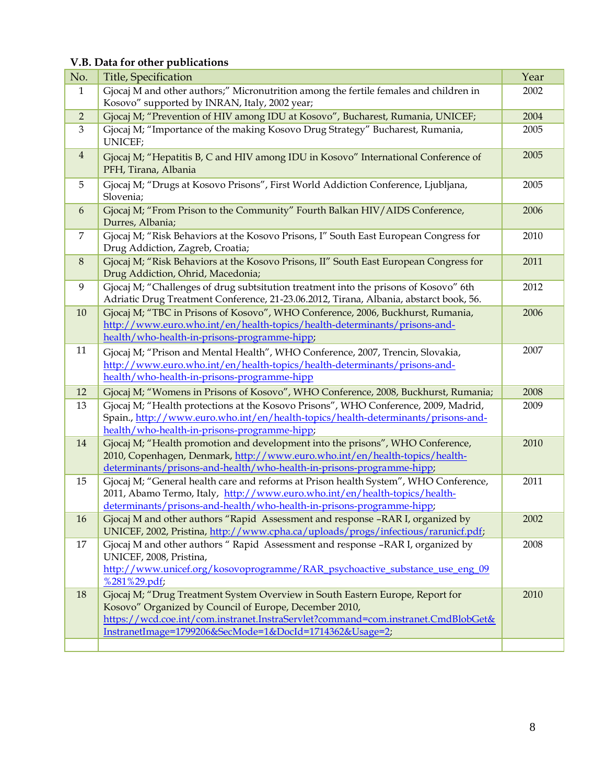## **V.B. Data for other publications**

| No.            | Title, Specification                                                                                                                                                                                         | Year |
|----------------|--------------------------------------------------------------------------------------------------------------------------------------------------------------------------------------------------------------|------|
| $\mathbf{1}$   | Gjocaj M and other authors;" Micronutrition among the fertile females and children in<br>Kosovo" supported by INRAN, Italy, 2002 year;                                                                       | 2002 |
| $\overline{2}$ | Gjocaj M; "Prevention of HIV among IDU at Kosovo", Bucharest, Rumania, UNICEF;                                                                                                                               | 2004 |
| 3              | Gjocaj M; "Importance of the making Kosovo Drug Strategy" Bucharest, Rumania,                                                                                                                                | 2005 |
|                | UNICEF;                                                                                                                                                                                                      |      |
| $\overline{4}$ | Gjocaj M; "Hepatitis B, C and HIV among IDU in Kosovo" International Conference of<br>PFH, Tirana, Albania                                                                                                   | 2005 |
| 5              | Gjocaj M; "Drugs at Kosovo Prisons", First World Addiction Conference, Ljubljana,<br>Slovenia;                                                                                                               | 2005 |
| 6              | Gjocaj M; "From Prison to the Community" Fourth Balkan HIV/AIDS Conference,<br>Durres, Albania;                                                                                                              | 2006 |
| 7              | Gjocaj M; "Risk Behaviors at the Kosovo Prisons, I" South East European Congress for<br>Drug Addiction, Zagreb, Croatia;                                                                                     | 2010 |
| $\, 8$         | Gjocaj M; "Risk Behaviors at the Kosovo Prisons, II" South East European Congress for<br>Drug Addiction, Ohrid, Macedonia;                                                                                   | 2011 |
| 9              | Gjocaj M; "Challenges of drug subtsitution treatment into the prisons of Kosovo" 6th<br>Adriatic Drug Treatment Conference, 21-23.06.2012, Tirana, Albania, abstarct book, 56.                               | 2012 |
| 10             | Gjocaj M; "TBC in Prisons of Kosovo", WHO Conference, 2006, Buckhurst, Rumania,<br>http://www.euro.who.int/en/health-topics/health-determinants/prisons-and-<br>health/who-health-in-prisons-programme-hipp; | 2006 |
| 11             | Gjocaj M; "Prison and Mental Health", WHO Conference, 2007, Trencin, Slovakia,                                                                                                                               | 2007 |
|                | http://www.euro.who.int/en/health-topics/health-determinants/prisons-and-                                                                                                                                    |      |
|                | health/who-health-in-prisons-programme-hipp                                                                                                                                                                  |      |
| 12             | Gjocaj M; "Womens in Prisons of Kosovo", WHO Conference, 2008, Buckhurst, Rumania;                                                                                                                           | 2008 |
| 13             | Gjocaj M; "Health protections at the Kosovo Prisons", WHO Conference, 2009, Madrid,                                                                                                                          | 2009 |
|                | Spain., http://www.euro.who.int/en/health-topics/health-determinants/prisons-and-                                                                                                                            |      |
| 14             | health/who-health-in-prisons-programme-hipp;<br>Gjocaj M; "Health promotion and development into the prisons", WHO Conference,                                                                               | 2010 |
|                | 2010, Copenhagen, Denmark, http://www.euro.who.int/en/health-topics/health-                                                                                                                                  |      |
|                | determinants/prisons-and-health/who-health-in-prisons-programme-hipp;                                                                                                                                        |      |
| 15             | Gjocaj M; "General health care and reforms at Prison health System", WHO Conference,                                                                                                                         | 2011 |
|                | 2011, Abamo Termo, Italy, http://www.euro.who.int/en/health-topics/health-                                                                                                                                   |      |
|                | determinants/prisons-and-health/who-health-in-prisons-programme-hipp;                                                                                                                                        |      |
| 16             | Gjocaj M and other authors "Rapid Assessment and response -RAR I, organized by<br>UNICEF, 2002, Pristina, http://www.cpha.ca/uploads/progs/infectious/rarunicf.pdf;                                          | 2002 |
| 17             | Gjocaj M and other authors " Rapid Assessment and response -RAR I, organized by<br>UNICEF, 2008, Pristina,                                                                                                   | 2008 |
|                | http://www.unicef.org/kosovoprogramme/RAR_psychoactive_substance_use_eng_09                                                                                                                                  |      |
|                | %281%29.pdf;                                                                                                                                                                                                 |      |
| 18             | Gjocaj M; "Drug Treatment System Overview in South Eastern Europe, Report for<br>Kosovo" Organized by Council of Europe, December 2010,                                                                      | 2010 |
|                | https://wcd.coe.int/com.instranet.InstraServlet?command=com.instranet.CmdBlobGet&                                                                                                                            |      |
|                | InstranetImage=1799206&SecMode=1&DocId=1714362&Usage=2;                                                                                                                                                      |      |
|                |                                                                                                                                                                                                              |      |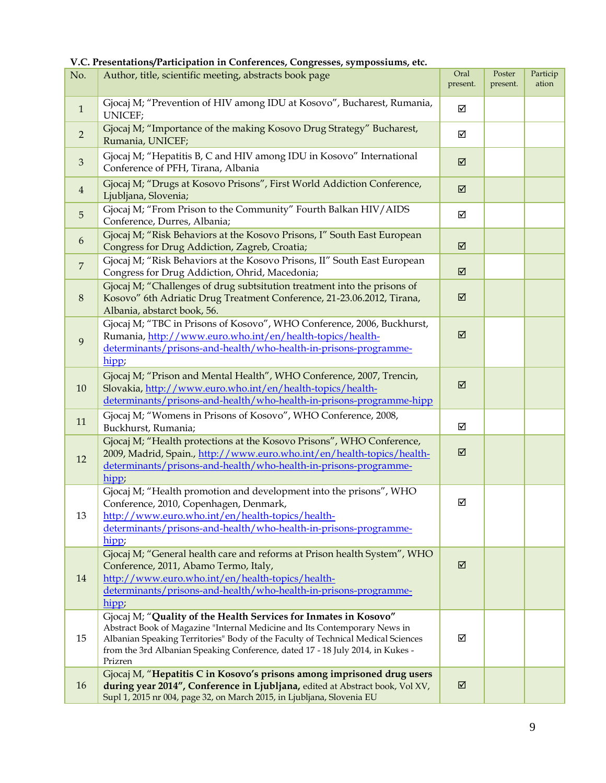#### **V.C. Presentations/Participation in Conferences, Congresses, sympossiums, etc.**

| No.              | Author, title, scientific meeting, abstracts book page                                                                                                                                                                                                                                                                         | Oral<br>present.        | Poster<br>present. | Particip<br>ation |
|------------------|--------------------------------------------------------------------------------------------------------------------------------------------------------------------------------------------------------------------------------------------------------------------------------------------------------------------------------|-------------------------|--------------------|-------------------|
| $\mathbf{1}$     | Gjocaj M; "Prevention of HIV among IDU at Kosovo", Bucharest, Rumania,<br>UNICEF;                                                                                                                                                                                                                                              | ☑                       |                    |                   |
| $\overline{2}$   | Gjocaj M; "Importance of the making Kosovo Drug Strategy" Bucharest,<br>Rumania, UNICEF;                                                                                                                                                                                                                                       | ☑                       |                    |                   |
| $\mathfrak{Z}$   | Gjocaj M; "Hepatitis B, C and HIV among IDU in Kosovo" International<br>Conference of PFH, Tirana, Albania                                                                                                                                                                                                                     | $\overline{\mathbf{M}}$ |                    |                   |
| $\overline{4}$   | Gjocaj M; "Drugs at Kosovo Prisons", First World Addiction Conference,<br>Ljubljana, Slovenia;                                                                                                                                                                                                                                 | $\overline{\mathbf{M}}$ |                    |                   |
| 5                | Gjocaj M; "From Prison to the Community" Fourth Balkan HIV/AIDS<br>Conference, Durres, Albania;                                                                                                                                                                                                                                | ☑                       |                    |                   |
| $\boldsymbol{6}$ | Gjocaj M; "Risk Behaviors at the Kosovo Prisons, I" South East European<br>Congress for Drug Addiction, Zagreb, Croatia;                                                                                                                                                                                                       | ☑                       |                    |                   |
| $\overline{7}$   | Gjocaj M; "Risk Behaviors at the Kosovo Prisons, II" South East European<br>Congress for Drug Addiction, Ohrid, Macedonia;                                                                                                                                                                                                     | $\overline{\mathbf{M}}$ |                    |                   |
| $\, 8$           | Gjocaj M; "Challenges of drug subtsitution treatment into the prisons of<br>Kosovo" 6th Adriatic Drug Treatment Conference, 21-23.06.2012, Tirana,<br>Albania, abstarct book, 56.                                                                                                                                              | ☑                       |                    |                   |
| 9                | Gjocaj M; "TBC in Prisons of Kosovo", WHO Conference, 2006, Buckhurst,<br>Rumania, http://www.euro.who.int/en/health-topics/health-<br>determinants/prisons-and-health/who-health-in-prisons-programme-<br>hipp;                                                                                                               | $\overline{\mathbf{M}}$ |                    |                   |
| 10               | Gjocaj M; "Prison and Mental Health", WHO Conference, 2007, Trencin,<br>Slovakia, http://www.euro.who.int/en/health-topics/health-<br>determinants/prisons-and-health/who-health-in-prisons-programme-hipp                                                                                                                     | $\overline{\mathbf{M}}$ |                    |                   |
| 11               | Gjocaj M; "Womens in Prisons of Kosovo", WHO Conference, 2008,<br>Buckhurst, Rumania;                                                                                                                                                                                                                                          | ☑                       |                    |                   |
| 12               | Gjocaj M; "Health protections at the Kosovo Prisons", WHO Conference,<br>2009, Madrid, Spain., http://www.euro.who.int/en/health-topics/health-<br>determinants/prisons-and-health/who-health-in-prisons-programme-<br>$hipp$ ;                                                                                                | ☑                       |                    |                   |
| 13               | Gjocaj M; "Health promotion and development into the prisons", WHO<br>Conference, 2010, Copenhagen, Denmark,<br>http://www.euro.who.int/en/health-topics/health-<br>determinants/prisons-and-health/who-health-in-prisons-programme-<br>hipp;                                                                                  | ☑                       |                    |                   |
| 14               | Gjocaj M; "General health care and reforms at Prison health System", WHO<br>Conference, 2011, Abamo Termo, Italy,<br>http://www.euro.who.int/en/health-topics/health-<br>determinants/prisons-and-health/who-health-in-prisons-programme-<br>hipp;                                                                             | ☑                       |                    |                   |
| 15               | Gjocaj M; "Quality of the Health Services for Inmates in Kosovo"<br>Abstract Book of Magazine "Internal Medicine and Its Contemporary News in<br>Albanian Speaking Territories" Body of the Faculty of Technical Medical Sciences<br>from the 3rd Albanian Speaking Conference, dated 17 - 18 July 2014, in Kukes -<br>Prizren | ☑                       |                    |                   |
| 16               | Gjocaj M, "Hepatitis C in Kosovo's prisons among imprisoned drug users<br>during year 2014", Conference in Ljubljana, edited at Abstract book, Vol XV,<br>Supl 1, 2015 nr 004, page 32, on March 2015, in Ljubljana, Slovenia EU                                                                                               | ☑                       |                    |                   |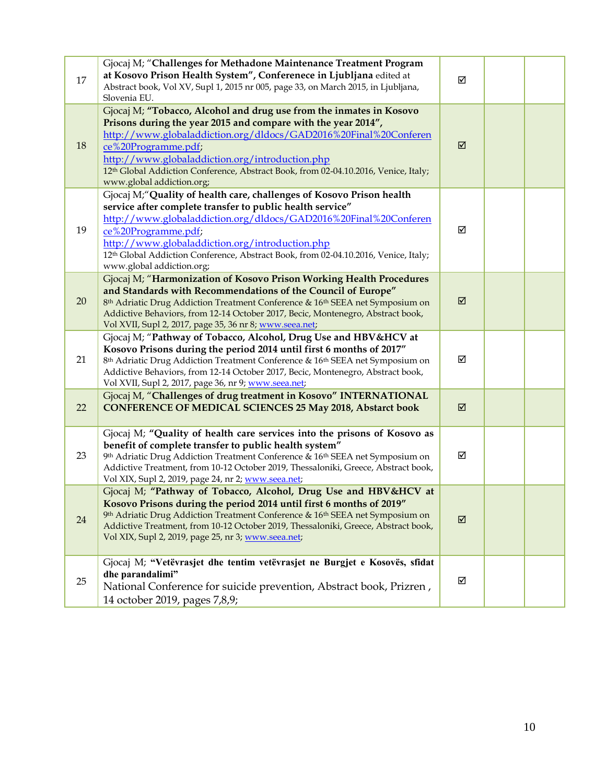| 17 | Gjocaj M; "Challenges for Methadone Maintenance Treatment Program<br>at Kosovo Prison Health System", Conferenece in Ljubljana edited at<br>Abstract book, Vol XV, Supl 1, 2015 nr 005, page 33, on March 2015, in Ljubljana,<br>Slovenia EU.                                                                                                                                                          | ☑                       |  |
|----|--------------------------------------------------------------------------------------------------------------------------------------------------------------------------------------------------------------------------------------------------------------------------------------------------------------------------------------------------------------------------------------------------------|-------------------------|--|
| 18 | Gjocaj M; "Tobacco, Alcohol and drug use from the inmates in Kosovo<br>Prisons during the year 2015 and compare with the year 2014",<br>http://www.globaladdiction.org/dldocs/GAD2016%20Final%20Conferen<br>ce%20Programme.pdf;<br>http://www.globaladdiction.org/introduction.php<br>12th Global Addiction Conference, Abstract Book, from 02-04.10.2016, Venice, Italy;<br>www.global addiction.org; | $\overline{\mathsf{M}}$ |  |
| 19 | Gjocaj M;"Quality of health care, challenges of Kosovo Prison health<br>service after complete transfer to public health service"<br>http://www.globaladdiction.org/dldocs/GAD2016%20Final%20Conferen<br>ce%20Programme.pdf;<br>http://www.globaladdiction.org/introduction.php<br>12th Global Addiction Conference, Abstract Book, from 02-04.10.2016, Venice, Italy;<br>www.global addiction.org;    | ☑                       |  |
| 20 | Gjocaj M; "Harmonization of Kosovo Prison Working Health Procedures<br>and Standards with Recommendations of the Council of Europe"<br>8 <sup>th</sup> Adriatic Drug Addiction Treatment Conference & 16 <sup>th</sup> SEEA net Symposium on<br>Addictive Behaviors, from 12-14 October 2017, Becic, Montenegro, Abstract book,<br>Vol XVII, Supl 2, 2017, page 35, 36 nr 8; www.seea.net;             | $\overline{\mathsf{M}}$ |  |
| 21 | Gjocaj M; "Pathway of Tobacco, Alcohol, Drug Use and HBV&HCV at<br>Kosovo Prisons during the period 2014 until first 6 months of 2017"<br>8th Adriatic Drug Addiction Treatment Conference & 16th SEEA net Symposium on<br>Addictive Behaviors, from 12-14 October 2017, Becic, Montenegro, Abstract book,<br>Vol XVII, Supl 2, 2017, page 36, nr 9; www.seea.net;                                     | ☑                       |  |
| 22 | Gjocaj M, "Challenges of drug treatment in Kosovo" INTERNATIONAL<br><b>CONFERENCE OF MEDICAL SCIENCES 25 May 2018, Abstarct book</b>                                                                                                                                                                                                                                                                   | ☑                       |  |
| 23 | Gjocaj M; "Quality of health care services into the prisons of Kosovo as<br>benefit of complete transfer to public health system"<br>9th Adriatic Drug Addiction Treatment Conference & 16th SEEA net Symposium on<br>Addictive Treatment, from 10-12 October 2019, Thessaloniki, Greece, Abstract book,<br>Vol XIX, Supl 2, 2019, page 24, nr 2; www.seea.net;                                        | ☑                       |  |
| 24 | Gjocaj M; "Pathway of Tobacco, Alcohol, Drug Use and HBV&HCV at<br>Kosovo Prisons during the period 2014 until first 6 months of 2019"<br>9th Adriatic Drug Addiction Treatment Conference & 16th SEEA net Symposium on<br>Addictive Treatment, from 10-12 October 2019, Thessaloniki, Greece, Abstract book,<br>Vol XIX, Supl 2, 2019, page 25, nr 3; www.seea.net;                                   | $\overline{\mathsf{M}}$ |  |
| 25 | Gjocaj M; "Vetëvrasjet dhe tentim vetëvrasjet ne Burgjet e Kosovës, sfidat<br>dhe parandalimi"<br>National Conference for suicide prevention, Abstract book, Prizren,<br>14 october 2019, pages 7,8,9;                                                                                                                                                                                                 | ☑                       |  |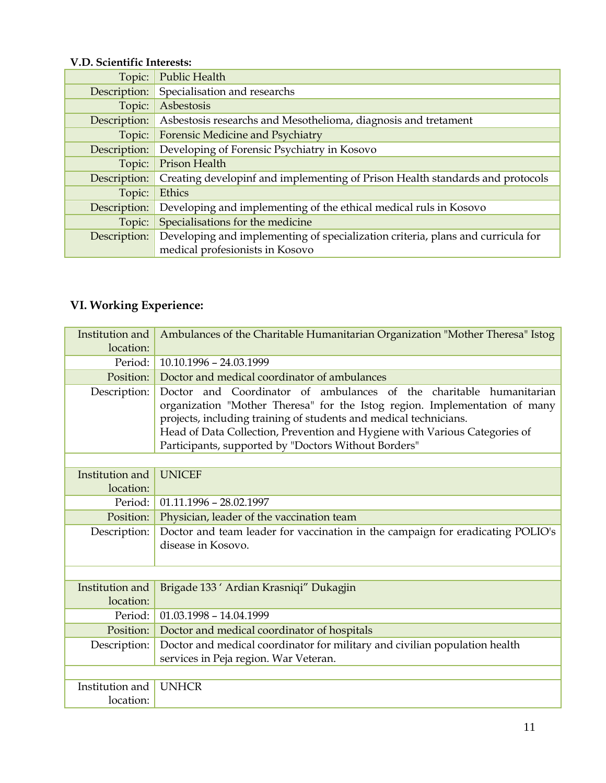### **V.D. Scientific Interests:**

| Topic:       | Public Health                                                                   |
|--------------|---------------------------------------------------------------------------------|
| Description: | Specialisation and researchs                                                    |
| Topic:       | Asbestosis                                                                      |
| Description: | Asbestosis researchs and Mesothelioma, diagnosis and tretament                  |
| Topic:       | Forensic Medicine and Psychiatry                                                |
| Description: | Developing of Forensic Psychiatry in Kosovo                                     |
| Topic:       | Prison Health                                                                   |
| Description: | Creating developinf and implementing of Prison Health standards and protocols   |
| Topic:       | Ethics                                                                          |
| Description: | Developing and implementing of the ethical medical ruls in Kosovo               |
| Topic:       | Specialisations for the medicine                                                |
| Description: | Developing and implementing of specialization criteria, plans and curricula for |
|              | medical profesionists in Kosovo                                                 |

# **VI. Working Experience:**

| Institution and<br>location: | Ambulances of the Charitable Humanitarian Organization "Mother Theresa" Istog                                                                                                                                                                                                                                                                                |
|------------------------------|--------------------------------------------------------------------------------------------------------------------------------------------------------------------------------------------------------------------------------------------------------------------------------------------------------------------------------------------------------------|
| Period:                      | 10.10.1996 - 24.03.1999                                                                                                                                                                                                                                                                                                                                      |
| Position:                    | Doctor and medical coordinator of ambulances                                                                                                                                                                                                                                                                                                                 |
| Description:                 | Doctor and Coordinator of ambulances of the charitable humanitarian<br>organization "Mother Theresa" for the Istog region. Implementation of many<br>projects, including training of students and medical technicians.<br>Head of Data Collection, Prevention and Hygiene with Various Categories of<br>Participants, supported by "Doctors Without Borders" |
|                              |                                                                                                                                                                                                                                                                                                                                                              |
| Institution and              | <b>UNICEF</b>                                                                                                                                                                                                                                                                                                                                                |
| location:                    |                                                                                                                                                                                                                                                                                                                                                              |
| Period:                      | $01.11.1996 - 28.02.1997$                                                                                                                                                                                                                                                                                                                                    |
| Position:                    | Physician, leader of the vaccination team                                                                                                                                                                                                                                                                                                                    |
| Description:                 | Doctor and team leader for vaccination in the campaign for eradicating POLIO's<br>disease in Kosovo.                                                                                                                                                                                                                                                         |
|                              |                                                                                                                                                                                                                                                                                                                                                              |
| Institution and<br>location: | Brigade 133 ' Ardian Krasniqi" Dukagjin                                                                                                                                                                                                                                                                                                                      |
| Period:                      | $01.03.1998 - 14.04.1999$                                                                                                                                                                                                                                                                                                                                    |
| Position:                    | Doctor and medical coordinator of hospitals                                                                                                                                                                                                                                                                                                                  |
| Description:                 | Doctor and medical coordinator for military and civilian population health<br>services in Peja region. War Veteran.                                                                                                                                                                                                                                          |
|                              |                                                                                                                                                                                                                                                                                                                                                              |
| Institution and<br>location: | <b>UNHCR</b>                                                                                                                                                                                                                                                                                                                                                 |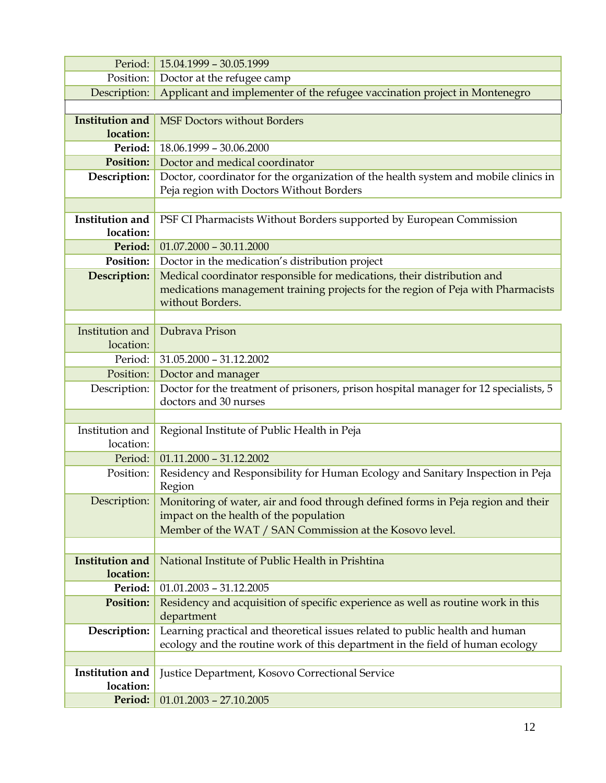| Period:                | 15.04.1999 - 30.05.1999                                                                              |
|------------------------|------------------------------------------------------------------------------------------------------|
| Position:              | Doctor at the refugee camp                                                                           |
| Description:           | Applicant and implementer of the refugee vaccination project in Montenegro                           |
|                        |                                                                                                      |
| <b>Institution and</b> | <b>MSF Doctors without Borders</b>                                                                   |
| location:              |                                                                                                      |
| Period:                | 18.06.1999 - 30.06.2000                                                                              |
| <b>Position:</b>       | Doctor and medical coordinator                                                                       |
| Description:           | Doctor, coordinator for the organization of the health system and mobile clinics in                  |
|                        | Peja region with Doctors Without Borders                                                             |
|                        |                                                                                                      |
| <b>Institution and</b> | PSF CI Pharmacists Without Borders supported by European Commission                                  |
| location:              |                                                                                                      |
| Period:                | $01.07,2000 - 30.11,2000$                                                                            |
| Position:              | Doctor in the medication's distribution project                                                      |
| Description:           | Medical coordinator responsible for medications, their distribution and                              |
|                        | medications management training projects for the region of Peja with Pharmacists<br>without Borders. |
|                        |                                                                                                      |
| Institution and        | Dubrava Prison                                                                                       |
| location:              |                                                                                                      |
| Period:                | $31.05.2000 - 31.12.2002$                                                                            |
| Position:              | Doctor and manager                                                                                   |
| Description:           | Doctor for the treatment of prisoners, prison hospital manager for 12 specialists, 5                 |
|                        | doctors and 30 nurses                                                                                |
|                        |                                                                                                      |
| Institution and        | Regional Institute of Public Health in Peja                                                          |
| location:              |                                                                                                      |
| Period:                | $01.11.2000 - 31.12.2002$                                                                            |
| Position:              | Residency and Responsibility for Human Ecology and Sanitary Inspection in Peja                       |
|                        | Region                                                                                               |
| Description:           | Monitoring of water, air and food through defined forms in Peja region and their                     |
|                        | impact on the health of the population                                                               |
|                        | Member of the WAT / SAN Commission at the Kosovo level.                                              |
|                        |                                                                                                      |
| <b>Institution and</b> | National Institute of Public Health in Prishtina                                                     |
| location:              |                                                                                                      |
| Period:                | $01.01.2003 - 31.12.2005$                                                                            |
| <b>Position:</b>       | Residency and acquisition of specific experience as well as routine work in this                     |
|                        | department                                                                                           |
| Description:           | Learning practical and theoretical issues related to public health and human                         |
|                        | ecology and the routine work of this department in the field of human ecology                        |
| Institution and        | Justice Department, Kosovo Correctional Service                                                      |
| location:              |                                                                                                      |
| Period:                | $01.01.2003 - 27.10.2005$                                                                            |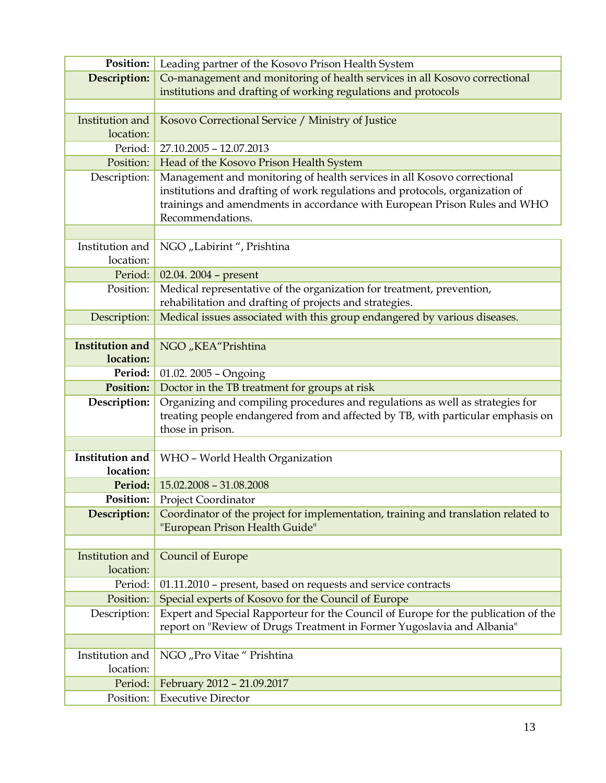| Position:              | Leading partner of the Kosovo Prison Health System                                                                                                      |
|------------------------|---------------------------------------------------------------------------------------------------------------------------------------------------------|
| Description:           | Co-management and monitoring of health services in all Kosovo correctional                                                                              |
|                        | institutions and drafting of working regulations and protocols                                                                                          |
|                        |                                                                                                                                                         |
| Institution and        | Kosovo Correctional Service / Ministry of Justice                                                                                                       |
| location:              |                                                                                                                                                         |
| Period:                | 27.10.2005 - 12.07.2013                                                                                                                                 |
| Position:              | Head of the Kosovo Prison Health System                                                                                                                 |
| Description:           | Management and monitoring of health services in all Kosovo correctional<br>institutions and drafting of work regulations and protocols, organization of |
|                        | trainings and amendments in accordance with European Prison Rules and WHO                                                                               |
|                        | Recommendations.                                                                                                                                        |
|                        |                                                                                                                                                         |
| Institution and        | NGO "Labirint", Prishtina                                                                                                                               |
| location:              |                                                                                                                                                         |
| Period:                | 02.04. 2004 - present                                                                                                                                   |
| Position:              | Medical representative of the organization for treatment, prevention,                                                                                   |
|                        | rehabilitation and drafting of projects and strategies.                                                                                                 |
| Description:           | Medical issues associated with this group endangered by various diseases.                                                                               |
|                        |                                                                                                                                                         |
| <b>Institution and</b> | NGO "KEA"Prishtina                                                                                                                                      |
| location:<br>Period:   |                                                                                                                                                         |
| <b>Position:</b>       | 01.02. 2005 - Ongoing                                                                                                                                   |
| Description:           | Doctor in the TB treatment for groups at risk<br>Organizing and compiling procedures and regulations as well as strategies for                          |
|                        | treating people endangered from and affected by TB, with particular emphasis on                                                                         |
|                        | those in prison.                                                                                                                                        |
|                        |                                                                                                                                                         |
| <b>Institution and</b> | WHO - World Health Organization                                                                                                                         |
| location:              |                                                                                                                                                         |
| Period:                | $15.02.2008 - 31.08.2008$                                                                                                                               |
| Position:              | Project Coordinator                                                                                                                                     |
| Description:           | Coordinator of the project for implementation, training and translation related to                                                                      |
|                        | "European Prison Health Guide"                                                                                                                          |
|                        |                                                                                                                                                         |
| Institution and        | <b>Council of Europe</b>                                                                                                                                |
| location:              |                                                                                                                                                         |
| Period:<br>Position:   | 01.11.2010 - present, based on requests and service contracts                                                                                           |
| Description:           | Special experts of Kosovo for the Council of Europe<br>Expert and Special Rapporteur for the Council of Europe for the publication of the               |
|                        | report on "Review of Drugs Treatment in Former Yugoslavia and Albania"                                                                                  |
|                        |                                                                                                                                                         |
| Institution and        | NGO "Pro Vitae" Prishtina                                                                                                                               |
| location:              |                                                                                                                                                         |
| Period:                | February 2012 - 21.09.2017                                                                                                                              |
| Position:              | <b>Executive Director</b>                                                                                                                               |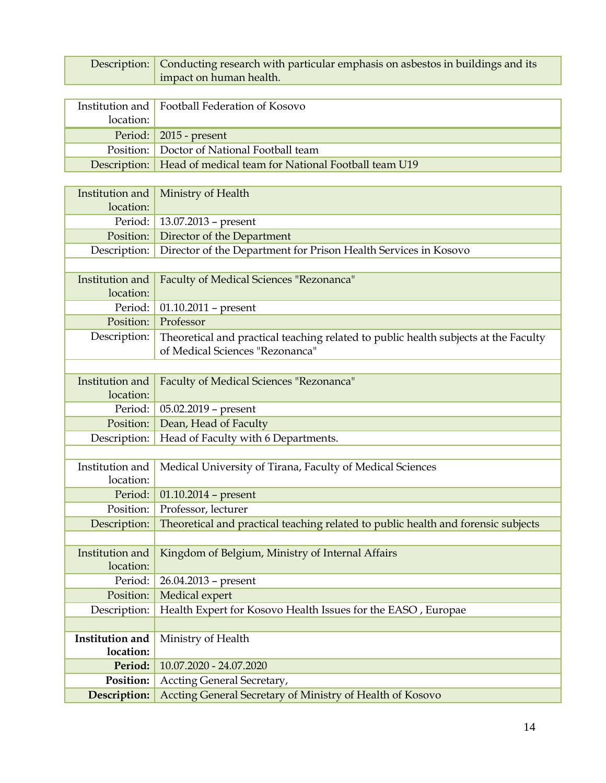| Description:                 | Conducting research with particular emphasis on asbestos in buildings and its<br>impact on human health. |
|------------------------------|----------------------------------------------------------------------------------------------------------|
|                              |                                                                                                          |
| Institution and              | Football Federation of Kosovo                                                                            |
| location:                    |                                                                                                          |
|                              |                                                                                                          |
| Period:                      | 2015 - present                                                                                           |
| Position:                    | Doctor of National Football team                                                                         |
| Description:                 | Head of medical team for National Football team U19                                                      |
|                              |                                                                                                          |
| Institution and<br>location: | Ministry of Health                                                                                       |
| Period:                      | 13.07.2013 - present                                                                                     |
| Position:                    | Director of the Department                                                                               |
| Description:                 | Director of the Department for Prison Health Services in Kosovo                                          |
|                              |                                                                                                          |
| Institution and              | Faculty of Medical Sciences "Rezonanca"                                                                  |
| location:                    |                                                                                                          |
| Period:                      | $01.10.2011$ - present                                                                                   |
| Position:                    | Professor                                                                                                |
| Description:                 | Theoretical and practical teaching related to public health subjects at the Faculty                      |
|                              | of Medical Sciences "Rezonanca"                                                                          |
|                              |                                                                                                          |
| Institution and              | Faculty of Medical Sciences "Rezonanca"                                                                  |
| location:                    |                                                                                                          |
| Period:                      | 05.02.2019 - present                                                                                     |
| Position:                    | Dean, Head of Faculty                                                                                    |
| Description:                 | Head of Faculty with 6 Departments.                                                                      |
|                              |                                                                                                          |
| Institution and              | Medical University of Tirana, Faculty of Medical Sciences                                                |
| location:                    |                                                                                                          |
|                              | Period: $\vert 01.10.2014 -$ present                                                                     |
| Position:                    | Professor, lecturer                                                                                      |
| Description:                 | Theoretical and practical teaching related to public health and forensic subjects                        |
|                              |                                                                                                          |
| Institution and              | Kingdom of Belgium, Ministry of Internal Affairs                                                         |
| location:                    |                                                                                                          |
| Period:                      | 26.04.2013 - present                                                                                     |
| Position:                    | Medical expert                                                                                           |
| Description:                 | Health Expert for Kosovo Health Issues for the EASO, Europae                                             |
|                              |                                                                                                          |
| Institution and              | Ministry of Health                                                                                       |
| location:                    |                                                                                                          |
| Period:                      | 10.07.2020 - 24.07.2020                                                                                  |
| Position:                    | Accting General Secretary,                                                                               |
| Description:                 | Accting General Secretary of Ministry of Health of Kosovo                                                |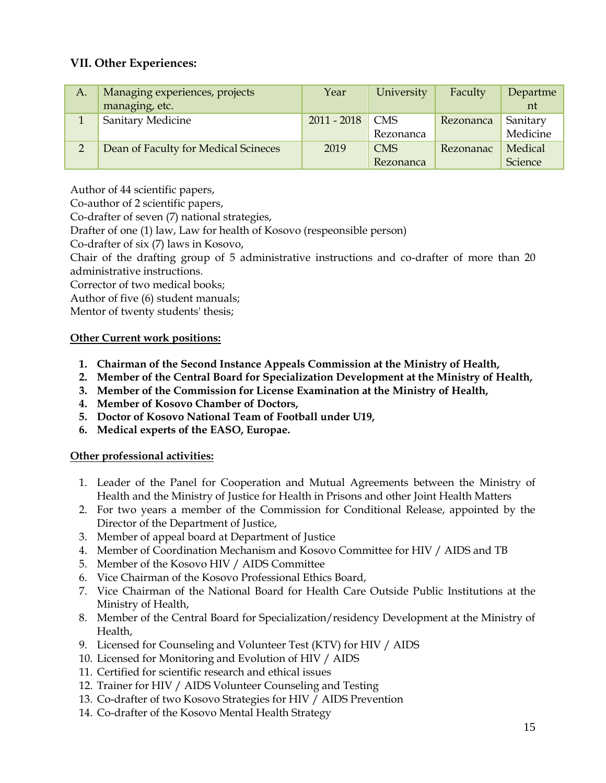#### **VII. Other Experiences:**

| А.           | Managing experiences, projects       | Year          | University | Faculty   | Departme |
|--------------|--------------------------------------|---------------|------------|-----------|----------|
|              | managing, etc.                       |               |            |           | nt       |
|              | Sanitary Medicine                    | $2011 - 2018$ | <b>CMS</b> | Rezonanca | Sanitary |
|              |                                      |               | Rezonanca  |           | Medicine |
| <sup>n</sup> | Dean of Faculty for Medical Scineces | 2019          | <b>CMS</b> | Rezonanac | Medical  |
|              |                                      |               | Rezonanca  |           | Science  |

Author of 44 scientific papers,

Co-author of 2 scientific papers,

Co-drafter of seven (7) national strategies,

Drafter of one (1) law, Law for health of Kosovo (respeonsible person)

Co-drafter of six (7) laws in Kosovo,

Chair of the drafting group of 5 administrative instructions and co-drafter of more than 20 administrative instructions.

Corrector of two medical books;

Author of five (6) student manuals;

Mentor of twenty students' thesis;

#### **Other Current work positions:**

- **1. Chairman of the Second Instance Appeals Commission at the Ministry of Health,**
- **2. Member of the Central Board for Specialization Development at the Ministry of Health,**
- **3. Member of the Commission for License Examination at the Ministry of Health,**
- **4. Member of Kosovo Chamber of Doctors,**
- **5. Doctor of Kosovo National Team of Football under U19,**
- **6. Medical experts of the EASO, Europae.**

#### **Other professional activities:**

- 1. Leader of the Panel for Cooperation and Mutual Agreements between the Ministry of Health and the Ministry of Justice for Health in Prisons and other Joint Health Matters
- 2. For two years a member of the Commission for Conditional Release, appointed by the Director of the Department of Justice,
- 3. Member of appeal board at Department of Justice
- 4. Member of Coordination Mechanism and Kosovo Committee for HIV / AIDS and TB
- 5. Member of the Kosovo HIV / AIDS Committee
- 6. Vice Chairman of the Kosovo Professional Ethics Board,
- 7. Vice Chairman of the National Board for Health Care Outside Public Institutions at the Ministry of Health,
- 8. Member of the Central Board for Specialization/residency Development at the Ministry of Health,
- 9. Licensed for Counseling and Volunteer Test (KTV) for HIV / AIDS
- 10. Licensed for Monitoring and Evolution of HIV / AIDS
- 11. Certified for scientific research and ethical issues
- 12. Trainer for HIV / AIDS Volunteer Counseling and Testing
- 13. Co-drafter of two Kosovo Strategies for HIV / AIDS Prevention
- 14. Co-drafter of the Kosovo Mental Health Strategy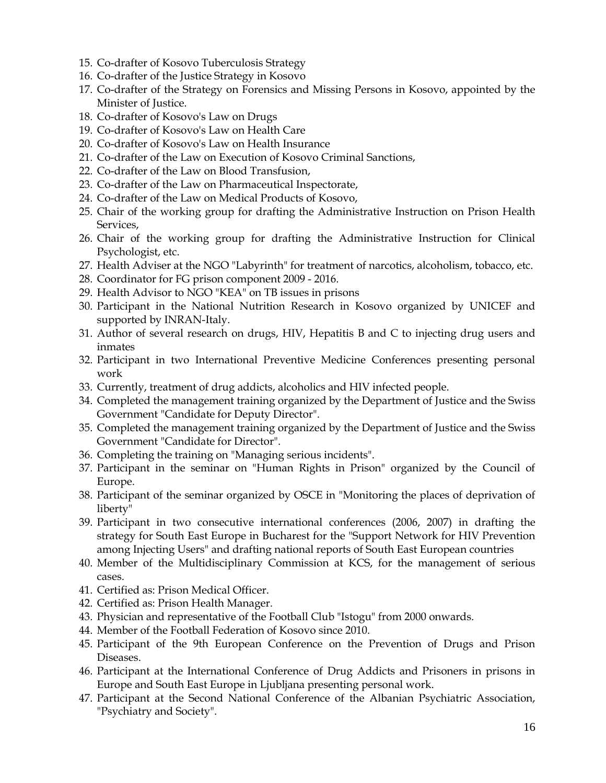- 15. Co-drafter of Kosovo Tuberculosis Strategy
- 16. Co-drafter of the Justice Strategy in Kosovo
- 17. Co-drafter of the Strategy on Forensics and Missing Persons in Kosovo, appointed by the Minister of Justice.
- 18. Co-drafter of Kosovo's Law on Drugs
- 19. Co-drafter of Kosovo's Law on Health Care
- 20. Co-drafter of Kosovo's Law on Health Insurance
- 21. Co-drafter of the Law on Execution of Kosovo Criminal Sanctions,
- 22. Co-drafter of the Law on Blood Transfusion,
- 23. Co-drafter of the Law on Pharmaceutical Inspectorate,
- 24. Co-drafter of the Law on Medical Products of Kosovo,
- 25. Chair of the working group for drafting the Administrative Instruction on Prison Health Services,
- 26. Chair of the working group for drafting the Administrative Instruction for Clinical Psychologist, etc.
- 27. Health Adviser at the NGO "Labyrinth" for treatment of narcotics, alcoholism, tobacco, etc.
- 28. Coordinator for FG prison component 2009 2016.
- 29. Health Advisor to NGO "KEA" on TB issues in prisons
- 30. Participant in the National Nutrition Research in Kosovo organized by UNICEF and supported by INRAN-Italy.
- 31. Author of several research on drugs, HIV, Hepatitis B and C to injecting drug users and inmates
- 32. Participant in two International Preventive Medicine Conferences presenting personal work
- 33. Currently, treatment of drug addicts, alcoholics and HIV infected people.
- 34. Completed the management training organized by the Department of Justice and the Swiss Government "Candidate for Deputy Director".
- 35. Completed the management training organized by the Department of Justice and the Swiss Government "Candidate for Director".
- 36. Completing the training on "Managing serious incidents".
- 37. Participant in the seminar on "Human Rights in Prison" organized by the Council of Europe.
- 38. Participant of the seminar organized by OSCE in "Monitoring the places of deprivation of liberty"
- 39. Participant in two consecutive international conferences (2006, 2007) in drafting the strategy for South East Europe in Bucharest for the "Support Network for HIV Prevention among Injecting Users" and drafting national reports of South East European countries
- 40. Member of the Multidisciplinary Commission at KCS, for the management of serious cases.
- 41. Certified as: Prison Medical Officer.
- 42. Certified as: Prison Health Manager.
- 43. Physician and representative of the Football Club "Istogu" from 2000 onwards.
- 44. Member of the Football Federation of Kosovo since 2010.
- 45. Participant of the 9th European Conference on the Prevention of Drugs and Prison Diseases.
- 46. Participant at the International Conference of Drug Addicts and Prisoners in prisons in Europe and South East Europe in Ljubljana presenting personal work.
- 47. Participant at the Second National Conference of the Albanian Psychiatric Association, "Psychiatry and Society".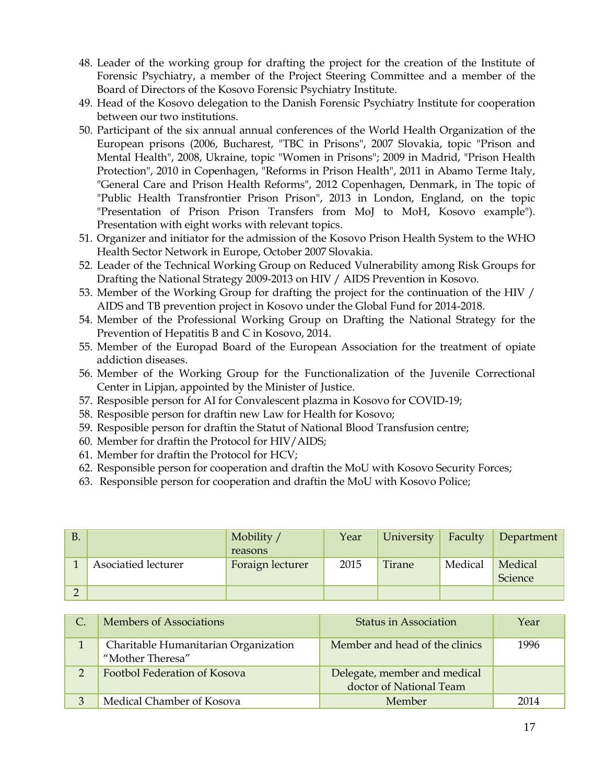- 48. Leader of the working group for drafting the project for the creation of the Institute of Forensic Psychiatry, a member of the Project Steering Committee and a member of the Board of Directors of the Kosovo Forensic Psychiatry Institute.
- 49. Head of the Kosovo delegation to the Danish Forensic Psychiatry Institute for cooperation between our two institutions.
- 50. Participant of the six annual annual conferences of the World Health Organization of the European prisons (2006, Bucharest, "TBC in Prisons", 2007 Slovakia, topic "Prison and Mental Health", 2008, Ukraine, topic "Women in Prisons"; 2009 in Madrid, "Prison Health Protection", 2010 in Copenhagen, "Reforms in Prison Health", 2011 in Abamo Terme Italy, "General Care and Prison Health Reforms", 2012 Copenhagen, Denmark, in The topic of "Public Health Transfrontier Prison Prison", 2013 in London, England, on the topic "Presentation of Prison Prison Transfers from MoJ to MoH, Kosovo example"). Presentation with eight works with relevant topics.
- 51. Organizer and initiator for the admission of the Kosovo Prison Health System to the WHO Health Sector Network in Europe, October 2007 Slovakia.
- 52. Leader of the Technical Working Group on Reduced Vulnerability among Risk Groups for Drafting the National Strategy 2009-2013 on HIV / AIDS Prevention in Kosovo.
- 53. Member of the Working Group for drafting the project for the continuation of the HIV / AIDS and TB prevention project in Kosovo under the Global Fund for 2014-2018.
- 54. Member of the Professional Working Group on Drafting the National Strategy for the Prevention of Hepatitis B and C in Kosovo, 2014.
- 55. Member of the Europad Board of the European Association for the treatment of opiate addiction diseases.
- 56. Member of the Working Group for the Functionalization of the Juvenile Correctional Center in Lipjan, appointed by the Minister of Justice.
- 57. Resposible person for AI for Convalescent plazma in Kosovo for COVID-19;
- 58. Resposible person for draftin new Law for Health for Kosovo;
- 59. Resposible person for draftin the Statut of National Blood Transfusion centre;
- 60. Member for draftin the Protocol for HIV/AIDS;
- 61. Member for draftin the Protocol for HCV;
- 62. Responsible person for cooperation and draftin the MoU with Kosovo Security Forces;
- 63. Responsible person for cooperation and draftin the MoU with Kosovo Police;

| B. |                     | Mobility /<br>reasons | Year | University | Faculty | Department         |
|----|---------------------|-----------------------|------|------------|---------|--------------------|
|    | Asociatied lecturer | Foraign lecturer      | 2015 | Tirane     | Medical | Medical<br>Science |
|    |                     |                       |      |            |         |                    |

| Members of Associations                                  | Status in Association                                   | Year |
|----------------------------------------------------------|---------------------------------------------------------|------|
| Charitable Humanitarian Organization<br>"Mother Theresa" | Member and head of the clinics                          | 1996 |
| Footbol Federation of Kosova                             | Delegate, member and medical<br>doctor of National Team |      |
| Medical Chamber of Kosova                                | Member                                                  | 2014 |